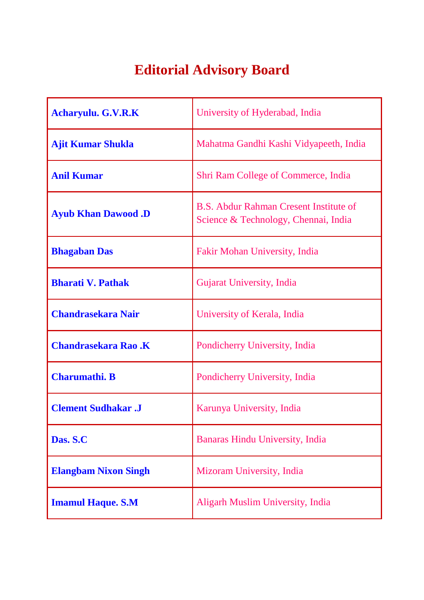## **Editorial Advisory Board**

| <b>Acharyulu. G.V.R.K</b>   | University of Hyderabad, India                                                        |
|-----------------------------|---------------------------------------------------------------------------------------|
| <b>Ajit Kumar Shukla</b>    | Mahatma Gandhi Kashi Vidyapeeth, India                                                |
| <b>Anil Kumar</b>           | <b>Shri Ram College of Commerce, India</b>                                            |
| <b>Ayub Khan Dawood .D</b>  | <b>B.S. Abdur Rahman Cresent Institute of</b><br>Science & Technology, Chennai, India |
| <b>Bhagaban Das</b>         | Fakir Mohan University, India                                                         |
| <b>Bharati V. Pathak</b>    | Gujarat University, India                                                             |
| <b>Chandrasekara Nair</b>   | University of Kerala, India                                                           |
| <b>Chandrasekara Rao .K</b> | Pondicherry University, India                                                         |
| <b>Charumathi. B</b>        | Pondicherry University, India                                                         |
| <b>Clement Sudhakar .J</b>  | Karunya University, India                                                             |
| Das. S.C                    | Banaras Hindu University, India                                                       |
| <b>Elangbam Nixon Singh</b> | Mizoram University, India                                                             |
| <b>Imamul Haque. S.M</b>    | Aligarh Muslim University, India                                                      |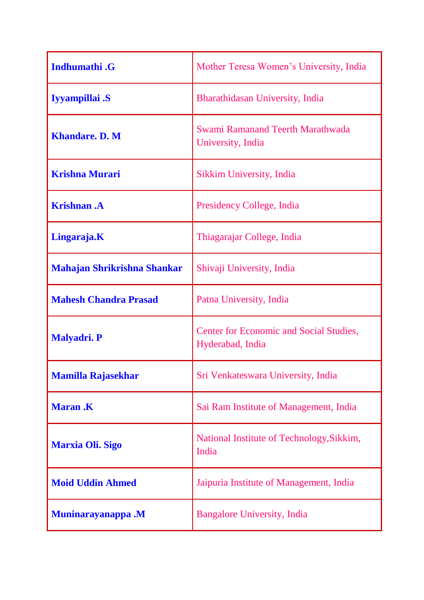| <b>Indhumathi</b> .G               | Mother Teresa Women's University, India                     |
|------------------------------------|-------------------------------------------------------------|
| Iyyampillai .S                     | Bharathidasan University, India                             |
| <b>Khandare. D. M</b>              | Swami Ramanand Teerth Marathwada<br>University, India       |
| <b>Krishna Murari</b>              | Sikkim University, India                                    |
| <b>Krishnan</b> .A                 | Presidency College, India                                   |
| Lingaraja.K                        | Thiagarajar College, India                                  |
| <b>Mahajan Shrikrishna Shankar</b> | Shivaji University, India                                   |
| <b>Mahesh Chandra Prasad</b>       | Patna University, India                                     |
| <b>Malyadri. P</b>                 | Center for Economic and Social Studies,<br>Hyderabad, India |
| <b>Mamilla Rajasekhar</b>          | Sri Venkateswara University, India                          |
| <b>Maran.K</b>                     | Sai Ram Institute of Management, India                      |
| <b>Marxia Oli. Sigo</b>            | National Institute of Technology, Sikkim,<br>India          |
| <b>Moid Uddin Ahmed</b>            | Jaipuria Institute of Management, India                     |
| <b>Muninarayanappa</b> .M          | <b>Bangalore University, India</b>                          |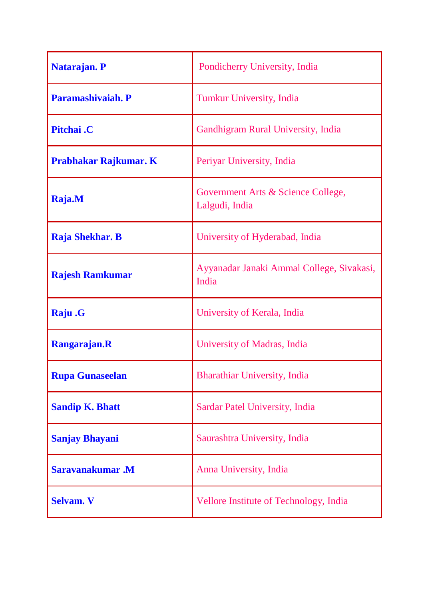| <b>Natarajan. P</b>          | Pondicherry University, India                        |
|------------------------------|------------------------------------------------------|
| Paramashivaiah. P            | <b>Tumkur University, India</b>                      |
| Pitchai.C                    | <b>Gandhigram Rural University, India</b>            |
| <b>Prabhakar Rajkumar. K</b> | Periyar University, India                            |
| Raja.M                       | Government Arts & Science College,<br>Lalgudi, India |
| Raja Shekhar. B              | University of Hyderabad, India                       |
| <b>Rajesh Ramkumar</b>       | Ayyanadar Janaki Ammal College, Sivakasi,<br>India   |
| Raju .G                      | University of Kerala, India                          |
| Rangarajan.R                 | University of Madras, India                          |
| <b>Rupa Gunaseelan</b>       | <b>Bharathiar University, India</b>                  |
| <b>Sandip K. Bhatt</b>       | Sardar Patel University, India                       |
| <b>Sanjay Bhayani</b>        | Saurashtra University, India                         |
| Saravanakumar.M              | Anna University, India                               |
| <b>Selvam. V</b>             | Vellore Institute of Technology, India               |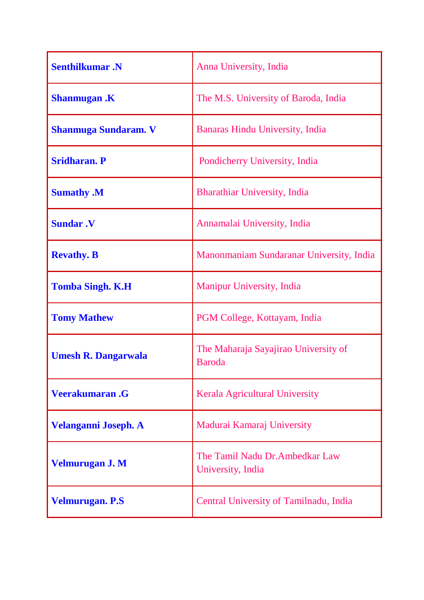| <b>Senthilkumar</b> .N      | Anna University, India                                |
|-----------------------------|-------------------------------------------------------|
| <b>Shanmugan</b> .K         | The M.S. University of Baroda, India                  |
| <b>Shanmuga Sundaram.</b> V | Banaras Hindu University, India                       |
| <b>Sridharan. P</b>         | Pondicherry University, India                         |
| <b>Sumathy .M</b>           | <b>Bharathiar University, India</b>                   |
| <b>Sundar .V</b>            | Annamalai University, India                           |
| <b>Revathy. B</b>           | Manonmaniam Sundaranar University, India              |
| <b>Tomba Singh. K.H</b>     | <b>Manipur University, India</b>                      |
| <b>Tomy Mathew</b>          | PGM College, Kottayam, India                          |
| <b>Umesh R. Dangarwala</b>  | The Maharaja Sayajirao University of<br><b>Baroda</b> |
| <b>Veerakumaran.G</b>       | Kerala Agricultural University                        |
| Velanganni Joseph. A        | Madurai Kamaraj University                            |
| <b>Velmurugan J. M</b>      | The Tamil Nadu Dr. Ambedkar Law<br>University, India  |
| <b>Velmurugan. P.S</b>      | Central University of Tamilnadu, India                |